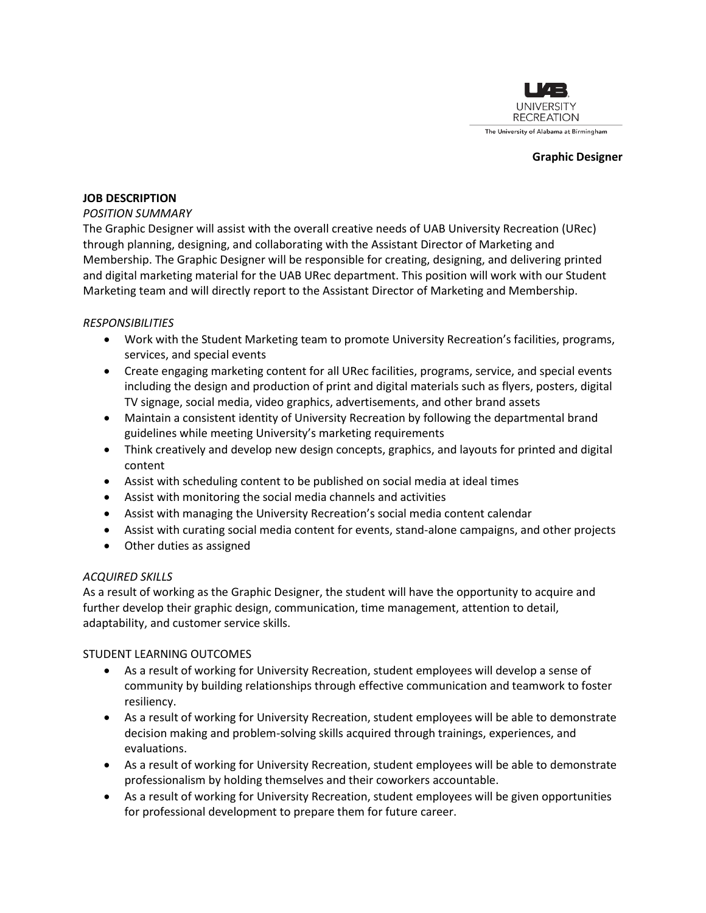

The University of Alabama at Birmingham

#### **Graphic Designer**

# **JOB DESCRIPTION**

# *POSITION SUMMARY*

The Graphic Designer will assist with the overall creative needs of UAB University Recreation (URec) through planning, designing, and collaborating with the Assistant Director of Marketing and Membership. The Graphic Designer will be responsible for creating, designing, and delivering printed and digital marketing material for the UAB URec department. This position will work with our Student Marketing team and will directly report to the Assistant Director of Marketing and Membership.

# *RESPONSIBILITIES*

- Work with the Student Marketing team to promote University Recreation's facilities, programs, services, and special events
- Create engaging marketing content for all URec facilities, programs, service, and special events including the design and production of print and digital materials such as flyers, posters, digital TV signage, social media, video graphics, advertisements, and other brand assets
- Maintain a consistent identity of University Recreation by following the departmental brand guidelines while meeting University's marketing requirements
- Think creatively and develop new design concepts, graphics, and layouts for printed and digital content
- Assist with scheduling content to be published on social media at ideal times
- Assist with monitoring the social media channels and activities
- Assist with managing the University Recreation's social media content calendar
- Assist with curating social media content for events, stand-alone campaigns, and other projects
- Other duties as assigned

# *ACQUIRED SKILLS*

As a result of working as the Graphic Designer, the student will have the opportunity to acquire and further develop their graphic design, communication, time management, attention to detail, adaptability, and customer service skills.

### STUDENT LEARNING OUTCOMES

- As a result of working for University Recreation, student employees will develop a sense of community by building relationships through effective communication and teamwork to foster resiliency.
- As a result of working for University Recreation, student employees will be able to demonstrate decision making and problem-solving skills acquired through trainings, experiences, and evaluations.
- As a result of working for University Recreation, student employees will be able to demonstrate professionalism by holding themselves and their coworkers accountable.
- As a result of working for University Recreation, student employees will be given opportunities for professional development to prepare them for future career.